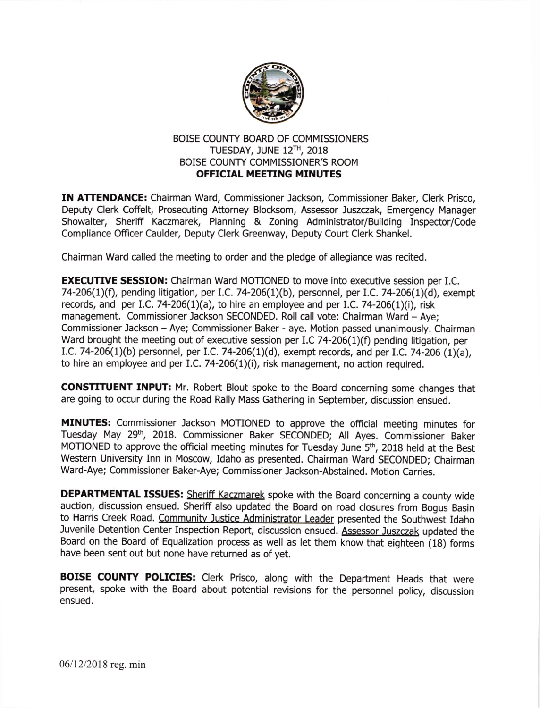

## BOISE COUNTY BOARD OF COMMISSIONERS TUESDAY, JUNE 12TH, 2018 BOISE COUNTY COMMISSIONER'S ROOM OFFICIAL MEETING MINUTES

IN ATTENDANCE: Chairman Ward, Commissioner Jackson, Commissioner Baker, Clerk Prisco, Deputy Clerk Coffelt, Prosecuting Attorney Blocksom, Assessor Juszczak, Emergency Manager Showalter, Sheriff Kaczmarek, Planning & Zoning Administrator/Building Inspector/Code Compliance Officer Caulder, Deputy Clerk Greenway, Deputy Court Clerk Shankel.

Chairman Ward called the meeting to order and the pledge of allegiance was recited.

**EXECUTIVE SESSION:** Chairman Ward MOTIONED to move into executive session per I.C. 74-206(1)(f), pending litigation, per I.C. 74-206(1)(b), personnel, per I.C. 74-206(1)(d), exempt records, and per I.C. 74-206(1)(a), to hire an employee and per I.C. 74-206(1)(i), risk management. Commissioner Jackson SECONDED. Roll call vote: Chairman Ward - Aye; Commissioner Jackson - Aye; Commissioner Baker - aye. Motion passed unanimously. Chairman Ward brought the meeting out of executive session per I.C 74-206(1)(f) pending litigation, per 1.C.74-206(L)(b) personnel, per I.C. 74-206(1)(d), exempt records, and per I.C. 74-206 (1)(a), to hire an employee and per I.C. 74-206 $(1)(i)$ , risk management, no action required.

CONSTITUENT INPUT: Mr. Robert Blout spoke to the Board concerning some changes that are going to occur during the Road Rally Mass Gathering in September, discussion ensued.

MINUTES: Commissioner Jackson MOTIONED to approve the official meeting minutes for Tuesday May 29<sup>th</sup>, 2018. Commissioner Baker SECONDED; All Ayes. Commissioner Baker MOTIONED to approve the official meeting minutes for Tuesday June 5<sup>th</sup>, 2018 held at the Best Western University Inn in Moscow, Idaho as presented. Chairman Ward SECONDED; Chairman Ward-Aye; Commissioner Baker-Aye; Commissioner Jackson-Abstained. Motion Carries.

**DEPARTMENTAL ISSUES:** Sheriff Kaczmarek spoke with the Board concerning a county wide auction, discussion ensued. Sheriff also updated the Board on road closures from Bogus Basin to Harris Creek Road. Community Justice Administrator Leader presented the Southwest Idaho Juvenile Detention Center Inspection Report, discussion ensued. Assessor Juszczak updated the Board on the Board of Equalization process as well as let them know that eighteen (1g) forms have been sent out but none have returned as of yet.

BOISE COUNTY POLICIES: Clerk Prisco, along with the Department Heads that were present, spoke with the Board about potential revisions for the personnel policy, discussion ensued.